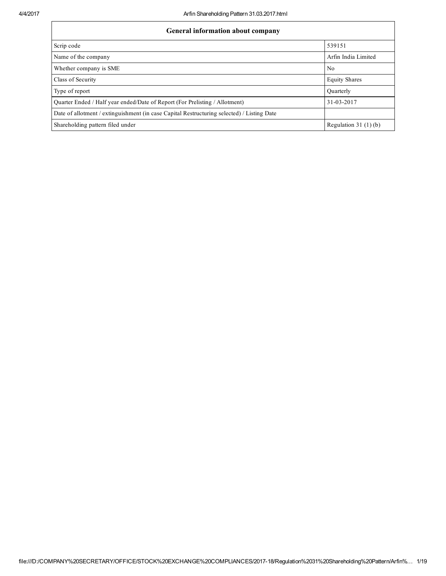| <b>General information about company</b>                                                   |                       |  |  |  |  |  |  |  |
|--------------------------------------------------------------------------------------------|-----------------------|--|--|--|--|--|--|--|
| Scrip code                                                                                 | 539151                |  |  |  |  |  |  |  |
| Name of the company                                                                        | Arfin India Limited   |  |  |  |  |  |  |  |
| Whether company is SME                                                                     | N <sub>0</sub>        |  |  |  |  |  |  |  |
| Class of Security                                                                          | <b>Equity Shares</b>  |  |  |  |  |  |  |  |
| Type of report                                                                             | Ouarterly             |  |  |  |  |  |  |  |
| Ouarter Ended / Half year ended/Date of Report (For Prelisting / Allotment)                | 31-03-2017            |  |  |  |  |  |  |  |
| Date of allotment / extinguishment (in case Capital Restructuring selected) / Listing Date |                       |  |  |  |  |  |  |  |
| Shareholding pattern filed under                                                           | Regulation $31(1)(b)$ |  |  |  |  |  |  |  |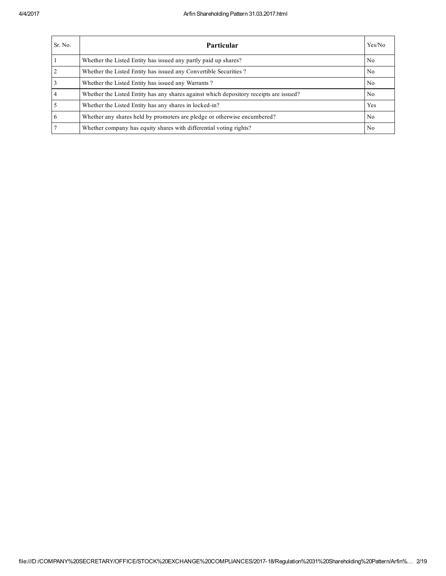| Sr. No.        | <b>Particular</b>                                                                      | Yes/No         |
|----------------|----------------------------------------------------------------------------------------|----------------|
|                | Whether the Listed Entity has issued any partly paid up shares?                        | No.            |
| $\overline{2}$ | Whether the Listed Entity has issued any Convertible Securities?                       | N <sub>0</sub> |
|                | Whether the Listed Entity has issued any Warrants?                                     | N <sub>0</sub> |
| $\overline{4}$ | Whether the Listed Entity has any shares against which depository receipts are issued? | No.            |
|                | Whether the Listed Entity has any shares in locked-in?                                 | Yes            |
| 6              | Whether any shares held by promoters are pledge or otherwise encumbered?               | N <sub>0</sub> |
|                | Whether company has equity shares with differential voting rights?                     | No             |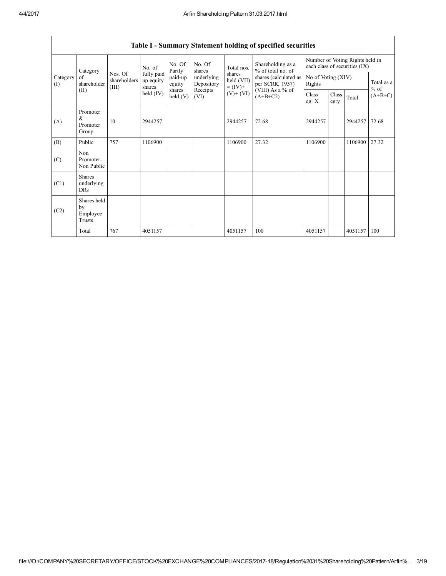|                 | Category                                  |                                  | No. of                            | No. Of<br>Partly   | No. Of<br>shares         | Total nos.                         | Shareholding as a<br>% of total no. of<br>shares (calculated as<br>per SCRR, 1957)<br>(VIII) As a % of<br>$(A+B+C2)$ | Number of Voting Rights held in<br>each class of securities (IX) |               |         |                      |
|-----------------|-------------------------------------------|----------------------------------|-----------------------------------|--------------------|--------------------------|------------------------------------|----------------------------------------------------------------------------------------------------------------------|------------------------------------------------------------------|---------------|---------|----------------------|
| Category<br>(I) | of<br>shareholder                         | Nos. Of<br>shareholders<br>(III) | fully paid<br>up equity<br>shares | paid-up<br>equity  | underlying<br>Depository | shares<br>held (VII)<br>$= (IV) +$ |                                                                                                                      | No of Voting (XIV)<br>Rights                                     |               |         | Total as a<br>$%$ of |
| (II)            |                                           |                                  | held $(IV)$                       | shares<br>held (V) | Receipts<br>(VI)         | $(V)$ + $(VI)$                     |                                                                                                                      | Class<br>eg: $X$                                                 | Class<br>eg:y | Total   | $(A+B+C)$            |
| (A)             | Promoter<br>&<br>Promoter<br>Group        | 10                               | 2944257                           |                    |                          | 2944257                            | 72.68                                                                                                                | 2944257                                                          |               | 2944257 | 72.68                |
| (B)             | Public                                    | 757                              | 1106900                           |                    |                          | 1106900                            | 27.32                                                                                                                | 1106900                                                          |               | 1106900 | 27.32                |
| (C)             | Non<br>Promoter-<br>Non Public            |                                  |                                   |                    |                          |                                    |                                                                                                                      |                                                                  |               |         |                      |
| (C1)            | <b>Shares</b><br>underlying<br><b>DRs</b> |                                  |                                   |                    |                          |                                    |                                                                                                                      |                                                                  |               |         |                      |
| (C2)            | Shares held<br>by<br>Employee<br>Trusts   |                                  |                                   |                    |                          |                                    |                                                                                                                      |                                                                  |               |         |                      |
|                 | Total                                     | 767                              | 4051157                           |                    |                          | 4051157                            | 100                                                                                                                  | 4051157                                                          |               | 4051157 | 100                  |

Table I - Summary Statement holding of specified securities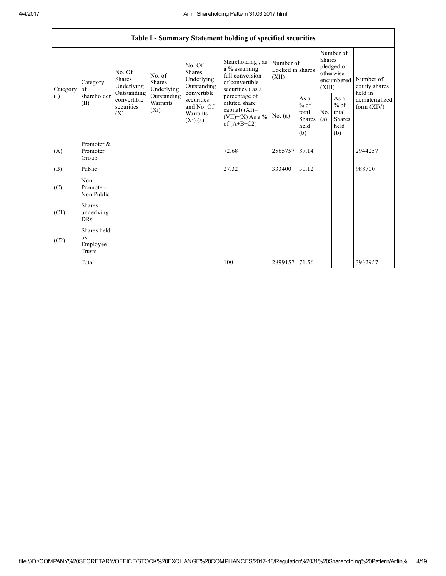$\mathsf{r}$ 

|                 |                                           |                                                                                                     |                                       |                                                                                                                        | Table I - Summary Statement holding of specified securities                                                                                                                             |                                        |                                                         |                                                                               |                                                  |                                       |
|-----------------|-------------------------------------------|-----------------------------------------------------------------------------------------------------|---------------------------------------|------------------------------------------------------------------------------------------------------------------------|-----------------------------------------------------------------------------------------------------------------------------------------------------------------------------------------|----------------------------------------|---------------------------------------------------------|-------------------------------------------------------------------------------|--------------------------------------------------|---------------------------------------|
| Category<br>(1) | Category<br>of<br>shareholder<br>(II)     | No. Of<br><b>Shares</b><br>Underlying<br>Outstanding<br>convertible<br>securities<br>$(X_i)$<br>(X) | No. of<br><b>Shares</b><br>Underlying | No. Of<br><b>Shares</b><br>Underlying<br>Outstanding<br>convertible<br>securities<br>and No. Of<br>Warrants<br>(Xi)(a) | Shareholding, as<br>a % assuming<br>full conversion<br>of convertible<br>securities (as a<br>percentage of<br>diluted share<br>capital) $(XI)$ =<br>$(VII)+(X)$ As a %<br>of $(A+B+C2)$ | Number of<br>Locked in shares<br>(XII) |                                                         | Number of<br><b>Shares</b><br>pledged or<br>otherwise<br>encumbered<br>(XIII) |                                                  | Number of<br>equity shares<br>held in |
|                 |                                           |                                                                                                     | Outstanding<br>Warrants               |                                                                                                                        |                                                                                                                                                                                         | No. $(a)$                              | As a<br>$%$ of<br>total<br><b>Shares</b><br>held<br>(b) | No.<br>(a)                                                                    | As a<br>$%$ of<br>total<br>Shares<br>held<br>(b) | dematerialized<br>form $(XIV)$        |
| (A)             | Promoter &<br>Promoter<br>Group           |                                                                                                     |                                       |                                                                                                                        | 72.68                                                                                                                                                                                   | 2565757                                | 87.14                                                   |                                                                               |                                                  | 2944257                               |
| (B)             | Public                                    |                                                                                                     |                                       |                                                                                                                        | 27.32                                                                                                                                                                                   | 333400                                 | 30.12                                                   |                                                                               |                                                  | 988700                                |
| (C)             | Non<br>Promoter-<br>Non Public            |                                                                                                     |                                       |                                                                                                                        |                                                                                                                                                                                         |                                        |                                                         |                                                                               |                                                  |                                       |
| (C1)            | <b>Shares</b><br>underlying<br><b>DRs</b> |                                                                                                     |                                       |                                                                                                                        |                                                                                                                                                                                         |                                        |                                                         |                                                                               |                                                  |                                       |
| (C2)            | Shares held<br>by<br>Employee<br>Trusts   |                                                                                                     |                                       |                                                                                                                        |                                                                                                                                                                                         |                                        |                                                         |                                                                               |                                                  |                                       |
|                 | Total                                     |                                                                                                     |                                       |                                                                                                                        | 100                                                                                                                                                                                     | 2899157 71.56                          |                                                         |                                                                               |                                                  | 3932957                               |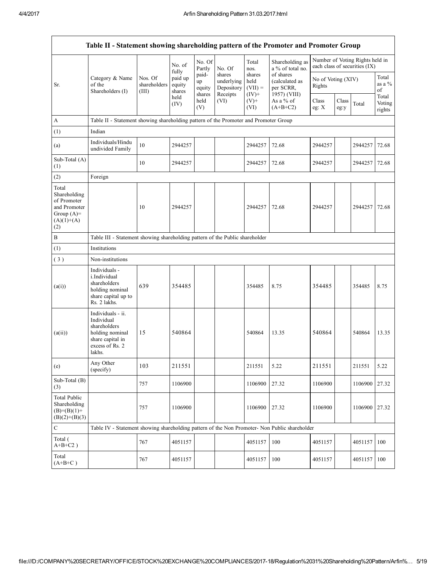| Table II - Statement showing shareholding pattern of the Promoter and Promoter Group        |                                                                                                                     |                                  |                             |                                 |                                                |                                         |                                                          |                              |               |                                                                  |                           |
|---------------------------------------------------------------------------------------------|---------------------------------------------------------------------------------------------------------------------|----------------------------------|-----------------------------|---------------------------------|------------------------------------------------|-----------------------------------------|----------------------------------------------------------|------------------------------|---------------|------------------------------------------------------------------|---------------------------|
|                                                                                             |                                                                                                                     |                                  | No. of<br>fully             | No. Of<br>Partly                | No. Of                                         | Total<br>nos.                           | Shareholding as<br>a % of total no.                      |                              |               | Number of Voting Rights held in<br>each class of securities (IX) |                           |
| Sr.                                                                                         | Category & Name<br>of the<br>Shareholders (I)                                                                       | Nos. Of<br>shareholders<br>(III) | paid up<br>equity<br>shares | paid-<br>up<br>equity<br>shares | shares<br>underlying<br>Depository<br>Receipts | shares<br>held<br>$(VII) =$<br>$(IV)$ + | of shares<br>(calculated as<br>per SCRR,<br>1957) (VIII) | No of Voting (XIV)<br>Rights |               |                                                                  | Total<br>as a %<br>of     |
|                                                                                             |                                                                                                                     |                                  | held<br>(IV)                | held<br>(V)                     | (VI)                                           | $(V)$ +<br>(VI)                         | As a % of<br>$(A+B+C2)$                                  | Class<br>eg: $X$             | Class<br>eg:y | Total                                                            | Total<br>Voting<br>rights |
| A                                                                                           | Table II - Statement showing shareholding pattern of the Promoter and Promoter Group                                |                                  |                             |                                 |                                                |                                         |                                                          |                              |               |                                                                  |                           |
| (1)                                                                                         | Indian                                                                                                              |                                  |                             |                                 |                                                |                                         |                                                          |                              |               |                                                                  |                           |
| (a)                                                                                         | Individuals/Hindu<br>undivided Family                                                                               | 10                               | 2944257                     |                                 |                                                | 2944257                                 | 72.68                                                    | 2944257                      |               | 2944257                                                          | 72.68                     |
| Sub-Total (A)<br>(1)                                                                        |                                                                                                                     | 10                               | 2944257                     |                                 |                                                | 2944257                                 | 72.68                                                    | 2944257                      |               | 2944257                                                          | 72.68                     |
| (2)                                                                                         | Foreign                                                                                                             |                                  |                             |                                 |                                                |                                         |                                                          |                              |               |                                                                  |                           |
| Total<br>Shareholding<br>of Promoter<br>and Promoter<br>Group $(A)=$<br>$(A)(1)+(A)$<br>(2) |                                                                                                                     | 10                               | 2944257                     |                                 |                                                | 2944257                                 | 72.68                                                    | 2944257                      |               | 2944257                                                          | 72.68                     |
| В                                                                                           | Table III - Statement showing shareholding pattern of the Public shareholder                                        |                                  |                             |                                 |                                                |                                         |                                                          |                              |               |                                                                  |                           |
| (1)                                                                                         | Institutions                                                                                                        |                                  |                             |                                 |                                                |                                         |                                                          |                              |               |                                                                  |                           |
| (3)                                                                                         | Non-institutions                                                                                                    |                                  |                             |                                 |                                                |                                         |                                                          |                              |               |                                                                  |                           |
| (a(i))                                                                                      | Individuals -<br>i.Individual<br>shareholders<br>holding nominal<br>share capital up to<br>Rs. 2 lakhs.             | 639                              | 354485                      |                                 |                                                | 354485                                  | 8.75                                                     | 354485                       |               | 354485                                                           | 8.75                      |
| (a(ii))                                                                                     | Individuals - ii.<br>Individual<br>shareholders<br>holding nominal<br>share capital in<br>excess of Rs. 2<br>lakhs. | 15                               | 540864                      |                                 |                                                | 540864                                  | 13.35                                                    | 540864                       |               | 540864                                                           | 13.35                     |
| (e)                                                                                         | Any Other<br>(specify)                                                                                              | 103                              | 211551                      |                                 |                                                | 211551                                  | 5.22                                                     | 211551                       |               | 211551                                                           | 5.22                      |
| Sub-Total (B)<br>(3)                                                                        |                                                                                                                     | 757                              | 1106900                     |                                 |                                                | 1106900                                 | 27.32                                                    | 1106900                      |               | 1106900                                                          | 27.32                     |
| <b>Total Public</b><br>Shareholding<br>$(B)=(B)(1)+$<br>$(B)(2)+(B)(3)$                     |                                                                                                                     | 757                              | 1106900                     |                                 |                                                | 1106900                                 | 27.32                                                    | 1106900                      |               | 1106900                                                          | 27.32                     |
| $\mathbf C$                                                                                 | Table IV - Statement showing shareholding pattern of the Non Promoter- Non Public shareholder                       |                                  |                             |                                 |                                                |                                         |                                                          |                              |               |                                                                  |                           |
| Total (<br>$A+B+C2$ )                                                                       |                                                                                                                     | 767                              | 4051157                     |                                 |                                                | 4051157                                 | 100                                                      | 4051157                      |               | 4051157                                                          | 100                       |
| Total<br>$(A+B+C)$                                                                          |                                                                                                                     | 767                              | 4051157                     |                                 |                                                | 4051157                                 | 100                                                      | 4051157                      |               | 4051157                                                          | 100                       |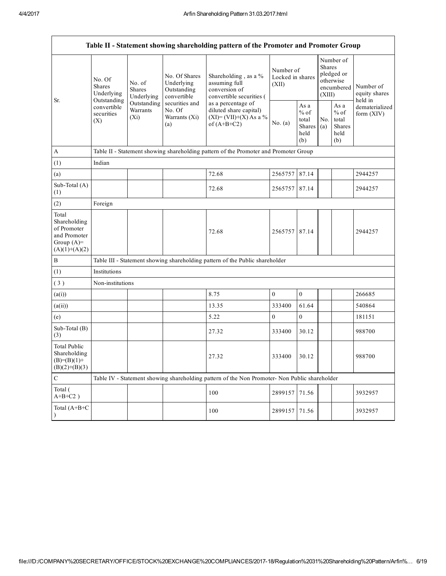|                                                                                         | Table II - Statement showing shareholding pattern of the Promoter and Promoter Group          |                                                                                      |                                                           |                                                                                            |                                        |                                                  |                                                                               |                                                  |                                       |  |  |  |
|-----------------------------------------------------------------------------------------|-----------------------------------------------------------------------------------------------|--------------------------------------------------------------------------------------|-----------------------------------------------------------|--------------------------------------------------------------------------------------------|----------------------------------------|--------------------------------------------------|-------------------------------------------------------------------------------|--------------------------------------------------|---------------------------------------|--|--|--|
| Sr.                                                                                     | No. Of<br><b>Shares</b><br>Underlying                                                         | No. of<br><b>Shares</b><br>Underlying                                                | No. Of Shares<br>Underlying<br>Outstanding<br>convertible | Shareholding, as a %<br>assuming full<br>conversion of<br>convertible securities (         | Number of<br>Locked in shares<br>(XII) |                                                  | Number of<br><b>Shares</b><br>pledged or<br>otherwise<br>encumbered<br>(XIII) |                                                  | Number of<br>equity shares<br>held in |  |  |  |
|                                                                                         | Outstanding<br>convertible<br>securities<br>(X)                                               | Outstanding<br>Warrants<br>$(X_i)$                                                   | securities and<br>No. Of<br>Warrants (Xi)<br>(a)          | as a percentage of<br>diluted share capital)<br>$(XI) = (VII)+(X) As a %$<br>of $(A+B+C2)$ | No. (a)                                | As a<br>$%$ of<br>total<br>Shares<br>held<br>(b) | No.<br>(a)                                                                    | As a<br>$%$ of<br>total<br>Shares<br>held<br>(b) | dematerialized<br>form $(XIV)$        |  |  |  |
| A                                                                                       |                                                                                               | Table II - Statement showing shareholding pattern of the Promoter and Promoter Group |                                                           |                                                                                            |                                        |                                                  |                                                                               |                                                  |                                       |  |  |  |
| (1)                                                                                     | Indian                                                                                        |                                                                                      |                                                           |                                                                                            |                                        |                                                  |                                                                               |                                                  |                                       |  |  |  |
| (a)                                                                                     |                                                                                               |                                                                                      |                                                           | 72.68                                                                                      | 2565757                                | 87.14                                            |                                                                               |                                                  | 2944257                               |  |  |  |
| Sub-Total (A)<br>(1)                                                                    |                                                                                               |                                                                                      |                                                           | 72.68                                                                                      | 2565757                                | 87.14                                            |                                                                               |                                                  | 2944257                               |  |  |  |
| (2)                                                                                     | Foreign                                                                                       |                                                                                      |                                                           |                                                                                            |                                        |                                                  |                                                                               |                                                  |                                       |  |  |  |
| Total<br>Shareholding<br>of Promoter<br>and Promoter<br>Group $(A)=$<br>$(A)(1)+(A)(2)$ |                                                                                               |                                                                                      |                                                           | 72.68                                                                                      | 2565757 87.14                          |                                                  |                                                                               |                                                  | 2944257                               |  |  |  |
| $\mathbf B$                                                                             |                                                                                               |                                                                                      |                                                           | Table III - Statement showing shareholding pattern of the Public shareholder               |                                        |                                                  |                                                                               |                                                  |                                       |  |  |  |
| (1)                                                                                     | Institutions                                                                                  |                                                                                      |                                                           |                                                                                            |                                        |                                                  |                                                                               |                                                  |                                       |  |  |  |
| (3)                                                                                     | Non-institutions                                                                              |                                                                                      |                                                           |                                                                                            |                                        |                                                  |                                                                               |                                                  |                                       |  |  |  |
| (a(i))                                                                                  |                                                                                               |                                                                                      |                                                           | 8.75                                                                                       | $\boldsymbol{0}$                       | $\boldsymbol{0}$                                 |                                                                               |                                                  | 266685                                |  |  |  |
| (a(ii))                                                                                 |                                                                                               |                                                                                      |                                                           | 13.35                                                                                      | 333400                                 | 61.64                                            |                                                                               |                                                  | 540864                                |  |  |  |
| (e)                                                                                     |                                                                                               |                                                                                      |                                                           | 5.22                                                                                       | 0                                      | $\mathbf{0}$                                     |                                                                               |                                                  | 181151                                |  |  |  |
| Sub-Total (B)<br>(3)                                                                    |                                                                                               |                                                                                      |                                                           | 27.32                                                                                      | 333400                                 | 30.12                                            |                                                                               |                                                  | 988700                                |  |  |  |
| <b>Total Public</b><br>Shareholding<br>$(B)=(B)(1)+$<br>$(B)(2)+(B)(3)$                 |                                                                                               |                                                                                      |                                                           | 27.32                                                                                      | 333400                                 | 30.12                                            |                                                                               |                                                  | 988700                                |  |  |  |
| $\mathbf C$                                                                             | Table IV - Statement showing shareholding pattern of the Non Promoter- Non Public shareholder |                                                                                      |                                                           |                                                                                            |                                        |                                                  |                                                                               |                                                  |                                       |  |  |  |
| Total (<br>$A+B+C2$ )                                                                   |                                                                                               |                                                                                      |                                                           | 100                                                                                        | 2899157                                | 71.56                                            |                                                                               |                                                  | 3932957                               |  |  |  |
| Total (A+B+C                                                                            |                                                                                               |                                                                                      |                                                           | 100                                                                                        | 2899157                                | 71.56                                            |                                                                               |                                                  | 3932957                               |  |  |  |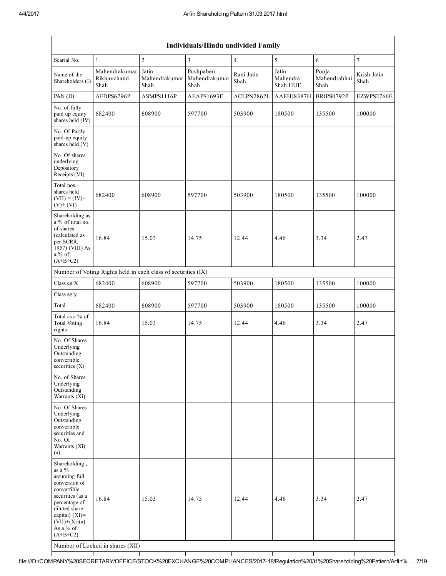| <b>Individuals/Hindu undivided Family</b>                                                                                                                                                         |                                                               |                                |                                    |                    |                               |                               |                     |  |  |  |  |
|---------------------------------------------------------------------------------------------------------------------------------------------------------------------------------------------------|---------------------------------------------------------------|--------------------------------|------------------------------------|--------------------|-------------------------------|-------------------------------|---------------------|--|--|--|--|
| Searial No.                                                                                                                                                                                       | $\mathbf{1}$                                                  | $\overline{2}$                 | 3                                  | $\overline{4}$     | 5                             | 6                             | $\tau$              |  |  |  |  |
| Name of the<br>Shareholders (I)                                                                                                                                                                   | Mahendrakumar<br>Rikhavchand<br>Shah                          | Jatin<br>Mahendrakumar<br>Shah | Pushpaben<br>Mahendrakumar<br>Shah | Rani Jatin<br>Shah | Jatin<br>Mahendra<br>Shah HUF | Pooja<br>Mahendrabhai<br>Shah | Krish Jatin<br>Shah |  |  |  |  |
| PAN (II)                                                                                                                                                                                          | AFDPS6796P                                                    | ASMPS1116P                     | AEAPS1693F                         | ACLPN2862L         | AAEHJ8387H                    | BRIPS0792P                    | EZWPS2766E          |  |  |  |  |
| No. of fully<br>paid up equity<br>shares held (IV)                                                                                                                                                | 682400                                                        | 608900                         | 597700                             | 503900             | 180500                        | 135500                        | 100000              |  |  |  |  |
| No. Of Partly<br>paid-up equity<br>shares held (V)                                                                                                                                                |                                                               |                                |                                    |                    |                               |                               |                     |  |  |  |  |
| No. Of shares<br>underlying<br>Depository<br>Receipts (VI)                                                                                                                                        |                                                               |                                |                                    |                    |                               |                               |                     |  |  |  |  |
| Total nos.<br>shares held<br>$(VII) = (IV) +$<br>$(V)$ + $(VI)$                                                                                                                                   | 682400                                                        | 608900                         | 597700                             | 503900             | 180500                        | 135500                        | 100000              |  |  |  |  |
| Shareholding as<br>a % of total no.<br>of shares<br>(calculated as<br>per SCRR,<br>1957) (VIII) As<br>$a\%$ of<br>$(A+B+C2)$                                                                      | 16.84                                                         | 15.03                          | 14.75                              | 12.44              | 4.46                          | 3.34                          | 2.47                |  |  |  |  |
|                                                                                                                                                                                                   | Number of Voting Rights held in each class of securities (IX) |                                |                                    |                    |                               |                               |                     |  |  |  |  |
| Class eg:X                                                                                                                                                                                        | 682400                                                        | 608900                         | 597700                             | 503900             | 180500                        | 135500                        | 100000              |  |  |  |  |
| Class eg:y                                                                                                                                                                                        |                                                               |                                |                                    |                    |                               |                               |                     |  |  |  |  |
| Total                                                                                                                                                                                             | 682400                                                        | 608900                         | 597700                             | 503900             | 180500                        | 135500                        | 100000              |  |  |  |  |
| Total as a % of<br><b>Total Voting</b><br>rights                                                                                                                                                  | 16.84                                                         | 15.03                          | 14.75                              | 12.44              | 4.46                          | 3.34                          | 2.47                |  |  |  |  |
| No. Of Shares<br>Underlying<br>Outstanding<br>convertible<br>securities $(X)$                                                                                                                     |                                                               |                                |                                    |                    |                               |                               |                     |  |  |  |  |
| No. of Shares<br>Underlying<br>Outstanding<br>Warrants (Xi)                                                                                                                                       |                                                               |                                |                                    |                    |                               |                               |                     |  |  |  |  |
| No. Of Shares<br>Underlying<br>Outstanding<br>convertible<br>securities and<br>No. Of<br>Warrants (Xi)<br>(a)                                                                                     |                                                               |                                |                                    |                    |                               |                               |                     |  |  |  |  |
| Shareholding,<br>as a %<br>assuming full<br>conversion of<br>convertible<br>securities (as a<br>percentage of<br>diluted share<br>capital) $(XI)$ =<br>$(VII)+(Xi)(a)$<br>As a % of<br>$(A+B+C2)$ | 16.84<br>Number of Locked in shares (XII)                     | 15.03                          | 14.75                              | 12.44              | 4.46                          | 3.34                          | 2.47                |  |  |  |  |

## file:///D:/COMPANY%20SECRETARY/OFFICE/STOCK%20EXCHANGE%20COMPLIANCES/201718/Regulation%2031%20Shareholding%20Pattern/Arfin%… 7/19

⊤

Т

Τ

Τ

т

Т

Т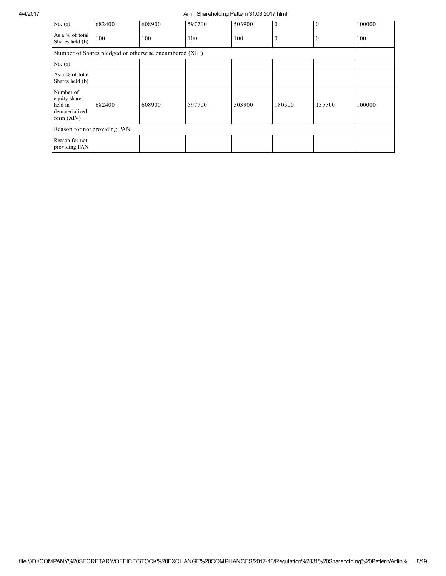#### 4/4/2017 Arfin Shareholding Pattern 31.03.2017.html

| No. $(a)$                                                               | 682400                                                  | 608900 | 597700 | 503900 | $\overline{0}$ | $\mathbf{0}$   | 100000 |  |  |  |
|-------------------------------------------------------------------------|---------------------------------------------------------|--------|--------|--------|----------------|----------------|--------|--|--|--|
| As a % of total<br>Shares held (b)                                      | 100                                                     | 100    | 100    | 100    | $\mathbf{0}$   | $\overline{0}$ | 100    |  |  |  |
|                                                                         | Number of Shares pledged or otherwise encumbered (XIII) |        |        |        |                |                |        |  |  |  |
| No. $(a)$                                                               |                                                         |        |        |        |                |                |        |  |  |  |
| As a % of total<br>Shares held (b)                                      |                                                         |        |        |        |                |                |        |  |  |  |
| Number of<br>equity shares<br>held in<br>dematerialized<br>form $(XIV)$ | 682400                                                  | 608900 | 597700 | 503900 | 180500         | 135500         | 100000 |  |  |  |
| Reason for not providing PAN                                            |                                                         |        |        |        |                |                |        |  |  |  |
| Reason for not<br>providing PAN                                         |                                                         |        |        |        |                |                |        |  |  |  |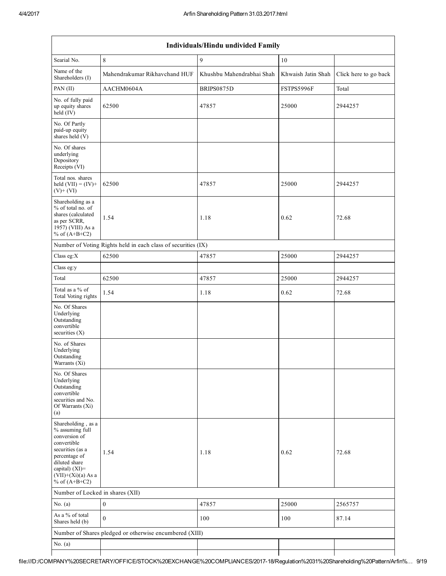$\overline{\phantom{a}}$ 

| Individuals/Hindu undivided Family                                                                                                                                                       |                                                               |                           |                    |                       |  |  |  |  |  |  |  |
|------------------------------------------------------------------------------------------------------------------------------------------------------------------------------------------|---------------------------------------------------------------|---------------------------|--------------------|-----------------------|--|--|--|--|--|--|--|
| Searial No.                                                                                                                                                                              | $\,8\,$                                                       | 9                         | $10\,$             |                       |  |  |  |  |  |  |  |
| Name of the<br>Shareholders (I)                                                                                                                                                          | Mahendrakumar Rikhavchand HUF                                 | Khushbu Mahendrabhai Shah | Khwaish Jatin Shah | Click here to go back |  |  |  |  |  |  |  |
| PAN (II)                                                                                                                                                                                 | AACHM0604A                                                    | BRIPS0875D                | FSTPS5996F         | Total                 |  |  |  |  |  |  |  |
| No. of fully paid<br>up equity shares<br>held (IV)                                                                                                                                       | 62500                                                         | 47857                     | 25000              | 2944257               |  |  |  |  |  |  |  |
| No. Of Partly<br>paid-up equity<br>shares held (V)                                                                                                                                       |                                                               |                           |                    |                       |  |  |  |  |  |  |  |
| No. Of shares<br>underlying<br>Depository<br>Receipts (VI)                                                                                                                               |                                                               |                           |                    |                       |  |  |  |  |  |  |  |
| Total nos. shares<br>held $(VII) = (IV) +$<br>$(V)+(VI)$                                                                                                                                 | 62500                                                         | 47857                     | 25000              | 2944257               |  |  |  |  |  |  |  |
| Shareholding as a<br>% of total no. of<br>shares (calculated<br>as per SCRR,<br>1957) (VIII) As a<br>% of $(A+B+C2)$                                                                     | 1.54                                                          | 1.18                      | 0.62               | 72.68                 |  |  |  |  |  |  |  |
|                                                                                                                                                                                          | Number of Voting Rights held in each class of securities (IX) |                           |                    |                       |  |  |  |  |  |  |  |
| Class eg:X                                                                                                                                                                               | 62500                                                         | 47857                     | 25000              | 2944257               |  |  |  |  |  |  |  |
| Class eg:y                                                                                                                                                                               |                                                               |                           |                    |                       |  |  |  |  |  |  |  |
| Total                                                                                                                                                                                    | 62500                                                         | 47857                     | 25000              | 2944257               |  |  |  |  |  |  |  |
| Total as a % of<br>Total Voting rights                                                                                                                                                   | 1.54                                                          | 1.18                      | 0.62               | 72.68                 |  |  |  |  |  |  |  |
| No. Of Shares<br>Underlying<br>Outstanding<br>convertible<br>securities (X)                                                                                                              |                                                               |                           |                    |                       |  |  |  |  |  |  |  |
| No. of Shares<br>Underlying<br>Outstanding<br>Warrants (Xi)                                                                                                                              |                                                               |                           |                    |                       |  |  |  |  |  |  |  |
| No. Of Shares<br>Underlying<br>Outstanding<br>convertible<br>securities and No.<br>Of Warrants (Xi)<br>(a)                                                                               |                                                               |                           |                    |                       |  |  |  |  |  |  |  |
| Shareholding, as a<br>% assuming full<br>conversion of<br>convertible<br>securities (as a<br>percentage of<br>diluted share<br>capital) (XI)=<br>$(VII)+(Xi)(a)$ As a<br>% of $(A+B+C2)$ | 1.54                                                          | 1.18                      | 0.62               | 72.68                 |  |  |  |  |  |  |  |
| Number of Locked in shares (XII)                                                                                                                                                         |                                                               |                           |                    |                       |  |  |  |  |  |  |  |
| No. $(a)$                                                                                                                                                                                | $\boldsymbol{0}$                                              | 47857                     | 25000              | 2565757               |  |  |  |  |  |  |  |
| As a % of total<br>Shares held (b)                                                                                                                                                       | $\mathbf{0}$                                                  | 100                       | 100                | 87.14                 |  |  |  |  |  |  |  |
|                                                                                                                                                                                          | Number of Shares pledged or otherwise encumbered (XIII)       |                           |                    |                       |  |  |  |  |  |  |  |
| No. $(a)$                                                                                                                                                                                |                                                               |                           |                    |                       |  |  |  |  |  |  |  |
|                                                                                                                                                                                          |                                                               |                           |                    |                       |  |  |  |  |  |  |  |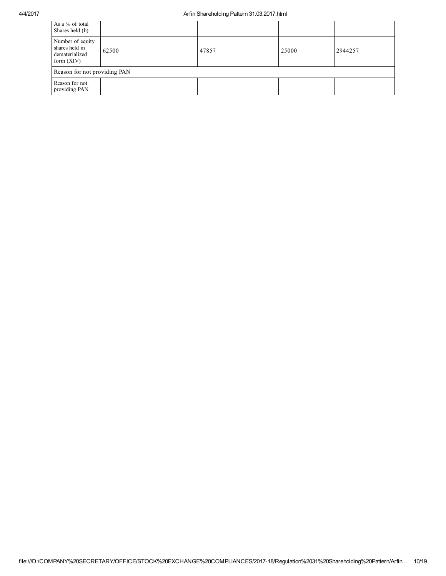#### 4/4/2017 Arfin Shareholding Pattern 31.03.2017.html

| As a % of total<br>Shares held (b)                                   |       |       |       |         |
|----------------------------------------------------------------------|-------|-------|-------|---------|
| Number of equity<br>shares held in<br>dematerialized<br>form $(XIV)$ | 62500 | 47857 | 25000 | 2944257 |
| Reason for not providing PAN                                         |       |       |       |         |
| Reason for not<br>providing PAN                                      |       |       |       |         |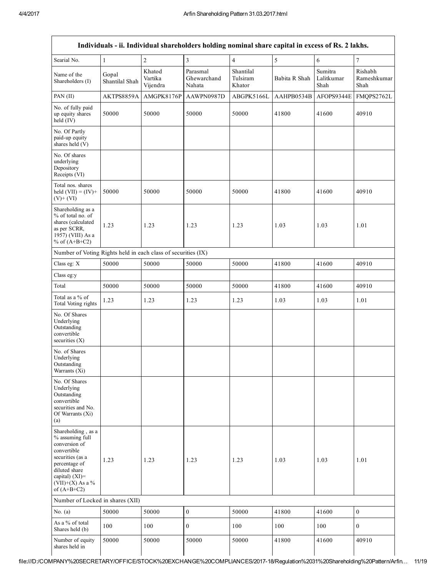|                                                                                                                                                                                      |                         |                               | Individuals - ii. Individual shareholders holding nominal share capital in excess of Rs. 2 lakhs. |                                 |               |                               |                                |
|--------------------------------------------------------------------------------------------------------------------------------------------------------------------------------------|-------------------------|-------------------------------|---------------------------------------------------------------------------------------------------|---------------------------------|---------------|-------------------------------|--------------------------------|
| Searial No.                                                                                                                                                                          | $\mathbf{1}$            | $\overline{c}$                | 3                                                                                                 | $\overline{4}$                  | 5             | 6                             | $\boldsymbol{7}$               |
| Name of the<br>Shareholders (I)                                                                                                                                                      | Gopal<br>Shantilal Shah | Khatod<br>Vartika<br>Vijendra | Parasmal<br>Ghewarchand<br>Nahata                                                                 | Shantilal<br>Tulsiram<br>Khator | Babita R Shah | Sumitra<br>Lalitkumar<br>Shah | Rishabh<br>Rameshkumar<br>Shah |
| PAN $(II)$                                                                                                                                                                           | AKTPS8859A              | AMGPK8176P                    | AAWPN0987D                                                                                        | ABGPK5166L                      | AAHPB0534B    | AFOPS9344E                    | FMQPS2762L                     |
| No. of fully paid<br>up equity shares<br>held (IV)                                                                                                                                   | 50000                   | 50000                         | 50000                                                                                             | 50000                           | 41800         | 41600                         | 40910                          |
| No. Of Partly<br>paid-up equity<br>shares held (V)                                                                                                                                   |                         |                               |                                                                                                   |                                 |               |                               |                                |
| No. Of shares<br>underlying<br>Depository<br>Receipts (VI)                                                                                                                           |                         |                               |                                                                                                   |                                 |               |                               |                                |
| Total nos. shares<br>held $(VII) = (IV) +$<br>$(V)$ + $(VI)$                                                                                                                         | 50000                   | 50000                         | 50000                                                                                             | 50000                           | 41800         | 41600                         | 40910                          |
| Shareholding as a<br>% of total no. of<br>shares (calculated<br>as per SCRR,<br>1957) (VIII) As a<br>% of $(A+B+C2)$                                                                 | 1.23                    | 1.23                          | 1.23                                                                                              | 1.23                            | 1.03          | 1.03                          | 1.01                           |
| Number of Voting Rights held in each class of securities (IX)                                                                                                                        |                         |                               |                                                                                                   |                                 |               |                               |                                |
| Class eg: X                                                                                                                                                                          | 50000                   | 50000                         | 50000                                                                                             | 50000                           | 41800         | 41600                         | 40910                          |
| Class eg:y                                                                                                                                                                           |                         |                               |                                                                                                   |                                 |               |                               |                                |
| Total                                                                                                                                                                                | 50000                   | 50000                         | 50000                                                                                             | 50000                           | 41800         | 41600                         | 40910                          |
| Total as a % of<br>Total Voting rights                                                                                                                                               | 1.23                    | 1.23                          | 1.23                                                                                              | 1.23                            | 1.03          | 1.03                          | 1.01                           |
| No. Of Shares<br>Underlying<br>Outstanding<br>convertible<br>securities $(X)$                                                                                                        |                         |                               |                                                                                                   |                                 |               |                               |                                |
| No. of Shares<br>Underlying<br>Outstanding<br>Warrants (Xi)                                                                                                                          |                         |                               |                                                                                                   |                                 |               |                               |                                |
| No. Of Shares<br>Underlying<br>Outstanding<br>convertible<br>securities and No.<br>Of Warrants (Xi)<br>(a)                                                                           |                         |                               |                                                                                                   |                                 |               |                               |                                |
| Shareholding, as a<br>% assuming full<br>conversion of<br>convertible<br>securities (as a<br>percentage of<br>diluted share<br>capital) (XI)=<br>$(VII)+(X)$ As a %<br>of $(A+B+C2)$ | 1.23                    | 1.23                          | 1.23                                                                                              | 1.23                            | 1.03          | 1.03                          | 1.01                           |
| Number of Locked in shares (XII)                                                                                                                                                     |                         |                               |                                                                                                   |                                 |               |                               |                                |
| No. $(a)$                                                                                                                                                                            | 50000                   | 50000                         | $\boldsymbol{0}$                                                                                  | 50000                           | 41800         | 41600                         | $\boldsymbol{0}$               |
| As a % of total<br>Shares held (b)                                                                                                                                                   | 100                     | 100                           | $\mathbf{0}$                                                                                      | 100                             | 100           | 100                           | $\mathbf{0}$                   |
| Number of equity<br>shares held in                                                                                                                                                   | 50000                   | 50000                         | 50000                                                                                             | 50000                           | 41800         | 41600                         | 40910                          |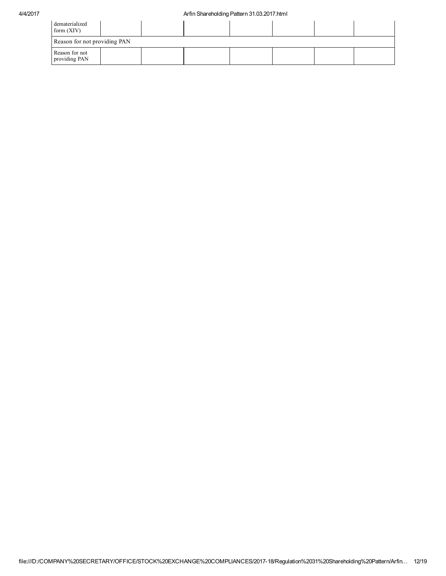| dematerialized<br>form $(XIV)$  |  |  |  |  |  |  |  |  |  |
|---------------------------------|--|--|--|--|--|--|--|--|--|
| Reason for not providing PAN    |  |  |  |  |  |  |  |  |  |
| Reason for not<br>providing PAN |  |  |  |  |  |  |  |  |  |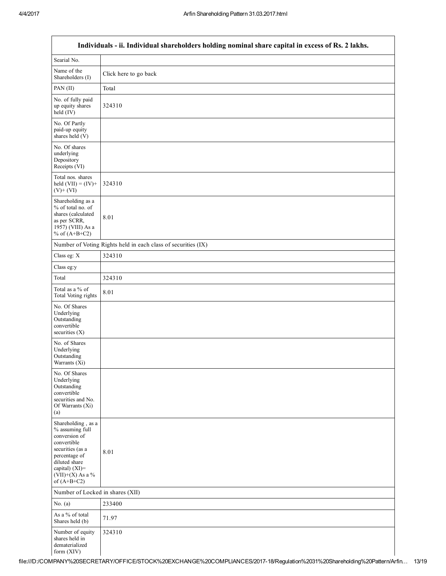|                                                                                                                                                                                      | Individuals - ii. Individual shareholders holding nominal share capital in excess of Rs. 2 lakhs. |
|--------------------------------------------------------------------------------------------------------------------------------------------------------------------------------------|---------------------------------------------------------------------------------------------------|
| Searial No.                                                                                                                                                                          |                                                                                                   |
| Name of the<br>Shareholders (I)                                                                                                                                                      | Click here to go back                                                                             |
| PAN (II)                                                                                                                                                                             | Total                                                                                             |
| No. of fully paid<br>up equity shares<br>$held$ (IV)                                                                                                                                 | 324310                                                                                            |
| No. Of Partly<br>paid-up equity<br>shares held (V)                                                                                                                                   |                                                                                                   |
| No. Of shares<br>underlying<br>Depository<br>Receipts (VI)                                                                                                                           |                                                                                                   |
| Total nos. shares<br>held $(VII) = (IV) +$<br>$(V)$ + $(VI)$                                                                                                                         | 324310                                                                                            |
| Shareholding as a<br>$%$ of total no. of<br>shares (calculated<br>as per SCRR,<br>1957) (VIII) As a<br>% of $(A+B+C2)$                                                               | 8.01                                                                                              |
|                                                                                                                                                                                      | Number of Voting Rights held in each class of securities (IX)                                     |
| Class eg: X                                                                                                                                                                          | 324310                                                                                            |
| Class eg:y                                                                                                                                                                           |                                                                                                   |
| Total                                                                                                                                                                                | 324310                                                                                            |
| Total as a % of<br>Total Voting rights                                                                                                                                               | 8.01                                                                                              |
| No. Of Shares<br>Underlying<br>Outstanding<br>convertible<br>securities $(X)$                                                                                                        |                                                                                                   |
| No. of Shares<br>Underlying<br>Outstanding<br>Warrants (Xi)                                                                                                                          |                                                                                                   |
| No. Of Shares<br>Underlying<br>Outstanding<br>convertible<br>securities and No.<br>Of Warrants (Xi)<br>(a)                                                                           |                                                                                                   |
| Shareholding, as a<br>% assuming full<br>conversion of<br>convertible<br>securities (as a<br>percentage of<br>diluted share<br>capital) (XI)=<br>$(VII)+(X)$ As a %<br>of $(A+B+C2)$ | 8.01                                                                                              |
| Number of Locked in shares (XII)                                                                                                                                                     |                                                                                                   |
| No. $(a)$                                                                                                                                                                            | 233400                                                                                            |
| As a % of total<br>Shares held (b)                                                                                                                                                   | 71.97                                                                                             |
| Number of equity<br>shares held in<br>dematerialized<br>form (XIV)                                                                                                                   | 324310                                                                                            |

# Individuals ii. Individual shareholders holding nominal share capital in excess of Rs. 2 lakhs.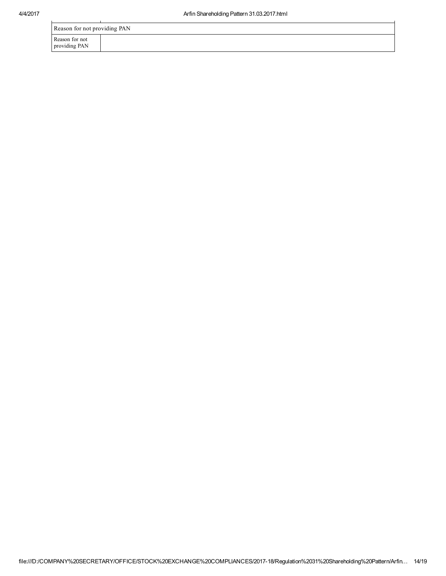| Reason for not providing PAN    |  |  |  |
|---------------------------------|--|--|--|
| Reason for not<br>providing PAN |  |  |  |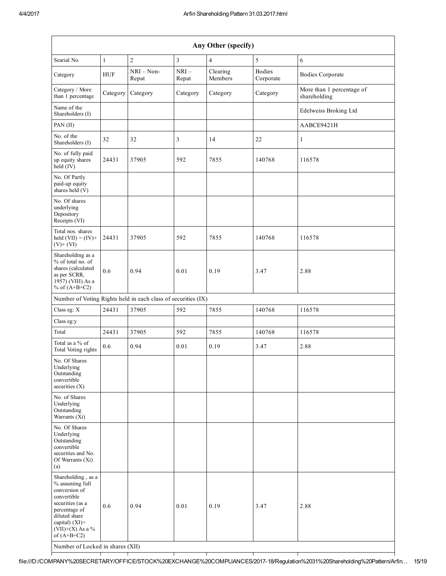| Any Other (specify)                                                                                                                                                                                                         |              |                       |                 |                     |                            |                                           |
|-----------------------------------------------------------------------------------------------------------------------------------------------------------------------------------------------------------------------------|--------------|-----------------------|-----------------|---------------------|----------------------------|-------------------------------------------|
| Searial No.                                                                                                                                                                                                                 | $\mathbf{1}$ | $\overline{2}$        | $\overline{3}$  | $\overline{4}$      | 5                          | 6                                         |
| Category                                                                                                                                                                                                                    | <b>HUF</b>   | $NRI - Non-$<br>Repat | $NRI-$<br>Repat | Clearing<br>Members | <b>Bodies</b><br>Corporate | <b>Bodies Corporate</b>                   |
| Category / More<br>than 1 percentage                                                                                                                                                                                        | Category     | Category              | Category        | Category            | Category                   | More than 1 percentage of<br>shareholding |
| Name of the<br>Shareholders (I)                                                                                                                                                                                             |              |                       |                 |                     |                            | Edelweiss Broking Ltd                     |
| PAN (II)                                                                                                                                                                                                                    |              |                       |                 |                     |                            | AABCE9421H                                |
| No. of the<br>Shareholders (I)                                                                                                                                                                                              | 32           | 32                    | 3               | 14                  | 22                         | $\mathbf{1}$                              |
| No. of fully paid<br>up equity shares<br>held (IV)                                                                                                                                                                          | 24431        | 37905                 | 592             | 7855                | 140768                     | 116578                                    |
| No. Of Partly<br>paid-up equity<br>shares held (V)                                                                                                                                                                          |              |                       |                 |                     |                            |                                           |
| No. Of shares<br>underlying<br>Depository<br>Receipts (VI)                                                                                                                                                                  |              |                       |                 |                     |                            |                                           |
| Total nos. shares<br>held $(VII) = (IV) +$<br>$(V)$ + $(VI)$                                                                                                                                                                | 24431        | 37905                 | 592             | 7855                | 140768                     | 116578                                    |
| Shareholding as a<br>% of total no. of<br>shares (calculated<br>as per SCRR,<br>1957) (VIII) As a<br>% of $(A+B+C2)$                                                                                                        | 0.6          | 0.94                  | 0.01            | 0.19                | 3.47                       | 2.88                                      |
| Number of Voting Rights held in each class of securities (IX)                                                                                                                                                               |              |                       |                 |                     |                            |                                           |
| Class eg: X                                                                                                                                                                                                                 | 24431        | 37905                 | 592             | 7855                | 140768                     | 116578                                    |
| Class eg:y                                                                                                                                                                                                                  |              |                       |                 |                     |                            |                                           |
| Total                                                                                                                                                                                                                       | 24431        | 37905                 | 592             | 7855                | 140768                     | 116578                                    |
| Total as a % of<br>Total Voting rights                                                                                                                                                                                      | 0.6          | 0.94                  | 0.01            | 0.19                | 3.47                       | 2.88                                      |
| No. Of Shares<br>Underlying<br>Outstanding<br>convertible<br>securities $(X)$                                                                                                                                               |              |                       |                 |                     |                            |                                           |
| No. of Shares<br>Underlying<br>Outstanding<br>Warrants (Xi)                                                                                                                                                                 |              |                       |                 |                     |                            |                                           |
| No. Of Shares<br>Underlying<br>Outstanding<br>convertible<br>securities and No.<br>Of Warrants (Xi)<br>(a)                                                                                                                  |              |                       |                 |                     |                            |                                           |
| Shareholding, as a<br>% assuming full<br>conversion of<br>convertible<br>securities (as a<br>percentage of<br>diluted share<br>capital) $(XI)$ =<br>$(VII)+(X)$ As a %<br>of $(A+B+C2)$<br>Number of Locked in shares (XII) | 0.6          | 0.94                  | 0.01            | 0.19                | 3.47                       | 2.88                                      |

file:///D:/COMPANY%20SECRETARY/OFFICE/STOCK%20EXCHANGE%20COMPLIANCES/201718/Regulation%2031%20Shareholding%20Pattern/Arfin… 15/19

┱

┯

٦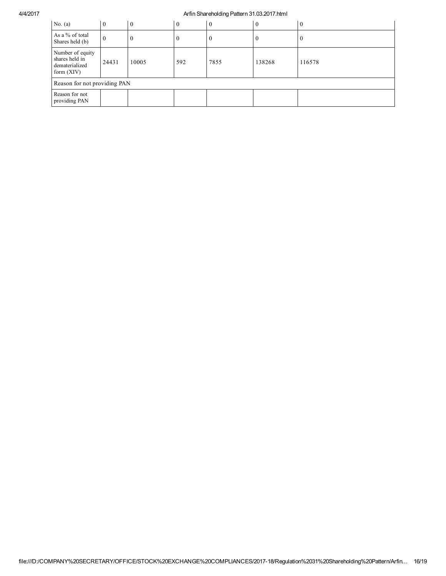### 4/4/2017 Arfin Shareholding Pattern 31.03.2017.html

| No. $(a)$                                                            | $\theta$ | $\Omega$ | $\theta$ | O    | $\overline{0}$ | $\boldsymbol{0}$ |
|----------------------------------------------------------------------|----------|----------|----------|------|----------------|------------------|
| As a % of total<br>Shares held (b)                                   | O        |          | v        |      | $\theta$       | л.               |
| Number of equity<br>shares held in<br>dematerialized<br>form $(XIV)$ | 24431    | 10005    | 592      | 7855 | 138268         | 116578           |
| Reason for not providing PAN                                         |          |          |          |      |                |                  |
| Reason for not<br>providing PAN                                      |          |          |          |      |                |                  |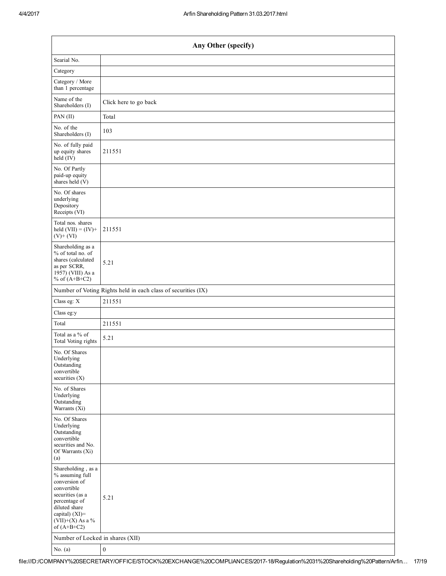| Any Other (specify)                                                                                                                                                                  |                       |  |  |  |  |  |  |
|--------------------------------------------------------------------------------------------------------------------------------------------------------------------------------------|-----------------------|--|--|--|--|--|--|
| Searial No.                                                                                                                                                                          |                       |  |  |  |  |  |  |
| Category                                                                                                                                                                             |                       |  |  |  |  |  |  |
| Category / More<br>than 1 percentage                                                                                                                                                 |                       |  |  |  |  |  |  |
| Name of the<br>Shareholders (I)                                                                                                                                                      | Click here to go back |  |  |  |  |  |  |
| PAN (II)                                                                                                                                                                             | Total                 |  |  |  |  |  |  |
| No. of the<br>Shareholders (I)                                                                                                                                                       | 103                   |  |  |  |  |  |  |
| No. of fully paid<br>up equity shares<br>$held$ (IV)                                                                                                                                 | 211551                |  |  |  |  |  |  |
| No. Of Partly<br>paid-up equity<br>shares held (V)                                                                                                                                   |                       |  |  |  |  |  |  |
| No. Of shares<br>underlying<br>Depository<br>Receipts (VI)                                                                                                                           |                       |  |  |  |  |  |  |
| Total nos. shares<br>held $(VII) = (IV) +$<br>$(V)$ + $(VI)$                                                                                                                         | 211551                |  |  |  |  |  |  |
| Shareholding as a<br>% of total no. of<br>shares (calculated<br>as per SCRR,<br>1957) (VIII) As a<br>% of $(A+B+C2)$                                                                 | 5.21                  |  |  |  |  |  |  |
| Number of Voting Rights held in each class of securities (IX)                                                                                                                        |                       |  |  |  |  |  |  |
| Class eg: X                                                                                                                                                                          | 211551                |  |  |  |  |  |  |
| Class eg:y                                                                                                                                                                           |                       |  |  |  |  |  |  |
| Total                                                                                                                                                                                | 211551                |  |  |  |  |  |  |
| Total as a % of<br>Total Voting rights                                                                                                                                               | 5.21                  |  |  |  |  |  |  |
| No. Of Shares<br>Underlying<br>Outstanding<br>convertible<br>securities $(X)$                                                                                                        |                       |  |  |  |  |  |  |
| No. of Shares<br>Underlying<br>Outstanding<br>Warrants (Xi)                                                                                                                          |                       |  |  |  |  |  |  |
| No. Of Shares<br>Underlying<br>Outstanding<br>convertible<br>securities and No.<br>Of Warrants (Xi)<br>(a)                                                                           |                       |  |  |  |  |  |  |
| Shareholding, as a<br>% assuming full<br>conversion of<br>convertible<br>securities (as a<br>percentage of<br>diluted share<br>capital) (XI)=<br>$(VII)+(X)$ As a %<br>of $(A+B+C2)$ | 5.21                  |  |  |  |  |  |  |
| Number of Locked in shares (XII)                                                                                                                                                     |                       |  |  |  |  |  |  |
| No. $(a)$                                                                                                                                                                            | $\boldsymbol{0}$      |  |  |  |  |  |  |